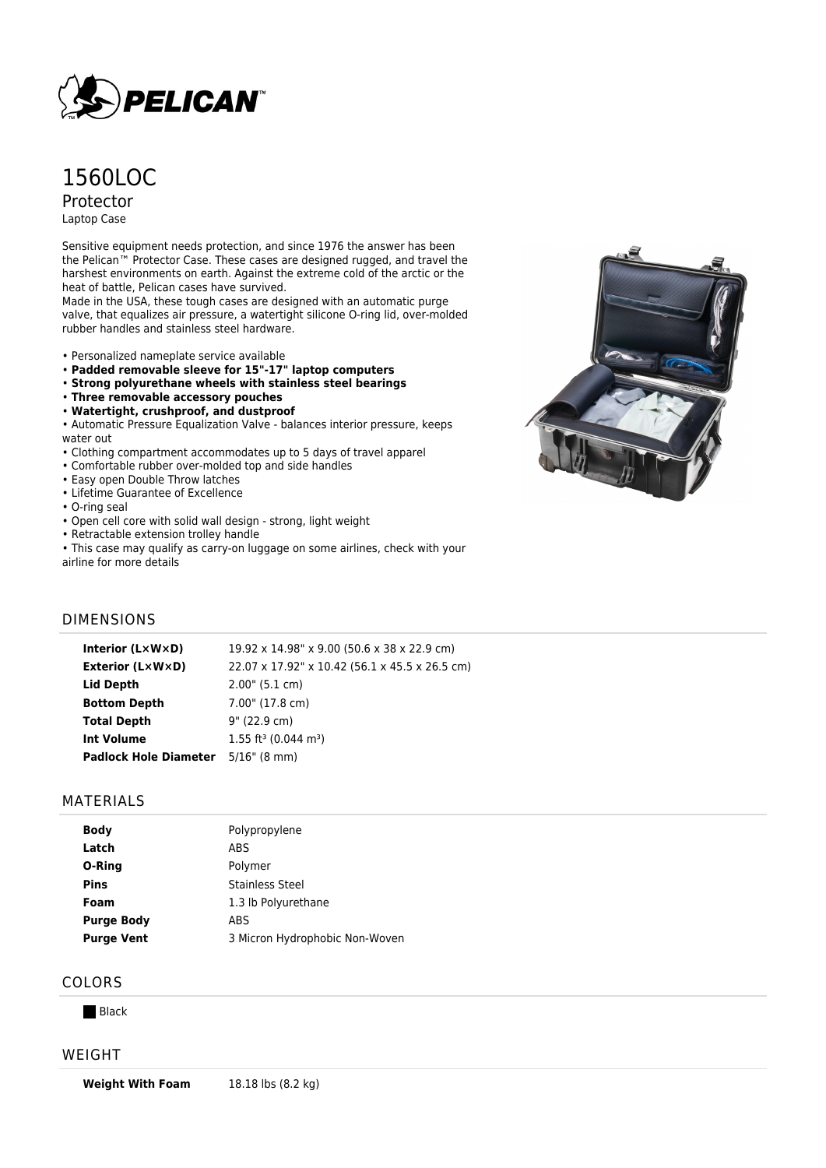

# 1560LOC Protector

Laptop Case

Sensitive equipment needs protection, and since 1976 the answer has been the Pelican™ Protector Case. These cases are designed rugged, and travel the harshest environments on earth. Against the extreme cold of the arctic or the heat of battle, Pelican cases have survived.

Made in the USA, these tough cases are designed with an automatic purge valve, that equalizes air pressure, a watertight silicone O-ring lid, over-molded rubber handles and stainless steel hardware.

- Personalized nameplate service available
- **Padded removable sleeve for 15"-17" laptop computers**
- **Strong polyurethane wheels with stainless steel bearings**
- **Three removable accessory pouches**
- **Watertight, crushproof, and dustproof**

• Automatic Pressure Equalization Valve - balances interior pressure, keeps water out

- Clothing compartment accommodates up to 5 days of travel apparel
- Comfortable rubber over-molded top and side handles
- Easy open Double Throw latches
- Lifetime Guarantee of Excellence
- O-ring seal
- Open cell core with solid wall design strong, light weight
- Retractable extension trolley handle
- This case may qualify as carry-on luggage on some airlines, check with your airline for more details



## DIMENSIONS

| Interior (LxWxD)                          | 19.92 x 14.98" x 9.00 (50.6 x 38 x 22.9 cm)    |
|-------------------------------------------|------------------------------------------------|
| <b>Exterior (LxWxD)</b>                   | 22.07 x 17.92" x 10.42 (56.1 x 45.5 x 26.5 cm) |
| Lid Depth                                 | 2.00" (5.1 cm)                                 |
| <b>Bottom Depth</b>                       | 7.00" (17.8 cm)                                |
| <b>Total Depth</b>                        | 9" (22.9 cm)                                   |
| <b>Int Volume</b>                         | $1.55$ ft <sup>3</sup> (0.044 m <sup>3</sup> ) |
| <b>Padlock Hole Diameter</b> 5/16" (8 mm) |                                                |

#### MATERIALS

| <b>Body</b>       | Polypropylene                  |
|-------------------|--------------------------------|
| Latch             | ABS                            |
| O-Ring            | Polymer                        |
| <b>Pins</b>       | Stainless Steel                |
| Foam              | 1.3 lb Polyurethane            |
| <b>Purge Body</b> | ABS                            |
| <b>Purge Vent</b> | 3 Micron Hydrophobic Non-Woven |
|                   |                                |

## COLORS

**Black** 

#### WEIGHT